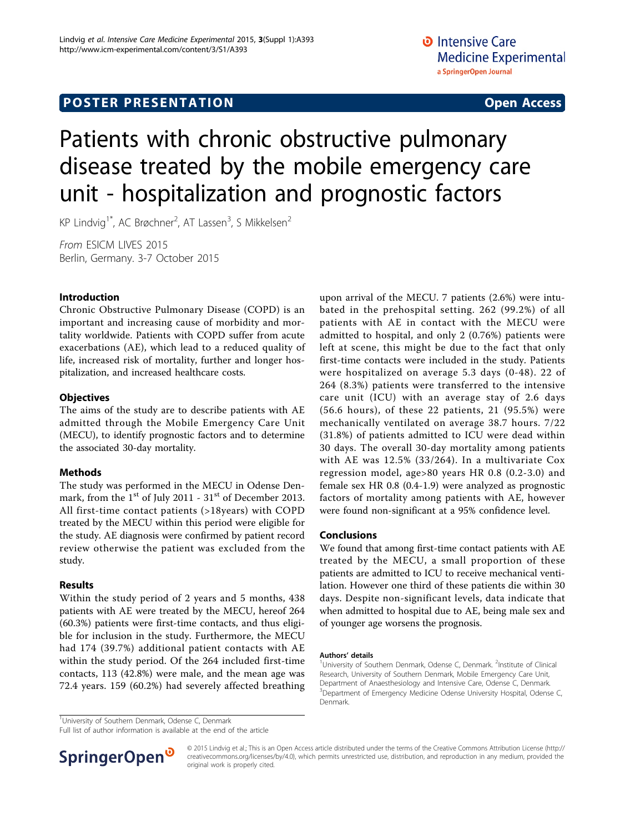# Patients with chronic obstructive pulmonary disease treated by the mobile emergency care unit - hospitalization and prognostic factors

KP Lindvig<sup>1\*</sup>, AC Brøchner<sup>2</sup>, AT Lassen<sup>3</sup>, S Mikkelsen<sup>2</sup>

From ESICM LIVES 2015 Berlin, Germany. 3-7 October 2015

# Introduction

Chronic Obstructive Pulmonary Disease (COPD) is an important and increasing cause of morbidity and mortality worldwide. Patients with COPD suffer from acute exacerbations (AE), which lead to a reduced quality of life, increased risk of mortality, further and longer hospitalization, and increased healthcare costs.

### **Objectives**

The aims of the study are to describe patients with AE admitted through the Mobile Emergency Care Unit (MECU), to identify prognostic factors and to determine the associated 30-day mortality.

# Methods

The study was performed in the MECU in Odense Denmark, from the  $1<sup>st</sup>$  of July 2011 -  $31<sup>st</sup>$  of December 2013. All first-time contact patients (>18years) with COPD treated by the MECU within this period were eligible for the study. AE diagnosis were confirmed by patient record review otherwise the patient was excluded from the study.

#### Results

Within the study period of 2 years and 5 months, 438 patients with AE were treated by the MECU, hereof 264 (60.3%) patients were first-time contacts, and thus eligible for inclusion in the study. Furthermore, the MECU had 174 (39.7%) additional patient contacts with AE within the study period. Of the 264 included first-time contacts, 113 (42.8%) were male, and the mean age was 72.4 years. 159 (60.2%) had severely affected breathing

upon arrival of the MECU. 7 patients (2.6%) were intubated in the prehospital setting. 262 (99.2%) of all patients with AE in contact with the MECU were admitted to hospital, and only 2 (0.76%) patients were left at scene, this might be due to the fact that only first-time contacts were included in the study. Patients were hospitalized on average 5.3 days (0-48). 22 of 264 (8.3%) patients were transferred to the intensive care unit (ICU) with an average stay of 2.6 days (56.6 hours), of these 22 patients, 21 (95.5%) were mechanically ventilated on average 38.7 hours. 7/22 (31.8%) of patients admitted to ICU were dead within 30 days. The overall 30-day mortality among patients with AE was 12.5% (33/264). In a multivariate Cox regression model, age>80 years HR 0.8 (0.2-3.0) and female sex HR 0.8 (0.4-1.9) were analyzed as prognostic factors of mortality among patients with AE, however were found non-significant at a 95% confidence level.

# Conclusions

We found that among first-time contact patients with AE treated by the MECU, a small proportion of these patients are admitted to ICU to receive mechanical ventilation. However one third of these patients die within 30 days. Despite non-significant levels, data indicate that when admitted to hospital due to AE, being male sex and of younger age worsens the prognosis.

#### Authors' details <sup>1</sup>

University of Southern Denmark, Odense C, Denmark. <sup>2</sup>Institute of Clinical Research, University of Southern Denmark, Mobile Emergency Care Unit, Department of Anaesthesiology and Intensive Care, Odense C, Denmark. <sup>3</sup>Department of Emergency Medicine Odense University Hospital, Odense C, Denmark.

<sup>1</sup>University of Southern Denmark, Odense C, Denmark

Full list of author information is available at the end of the article



© 2015 Lindvig et al.; This is an Open Access article distributed under the terms of the Creative Commons Attribution License [\(http://](http://creativecommons.org/licenses/by/4.0) [creativecommons.org/licenses/by/4.0](http://creativecommons.org/licenses/by/4.0)), which permits unrestricted use, distribution, and reproduction in any medium, provided the original work is properly cited.